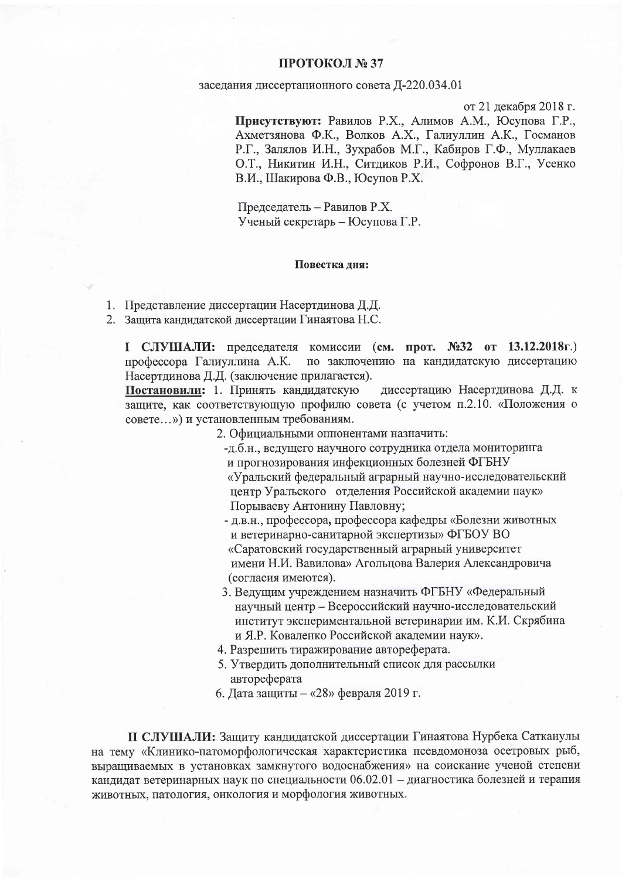## ПРОТОКОЛ № 37

## заседания диссертационного совета Д-220.034.01

от 21 декабря 2018 г.

Присутствуют: Равилов Р.Х., Алимов А.М., Юсупова Г.Р., Ахметзянова Ф.К., Волков А.Х., Галиуллин А.К., Госманов Р.Г., Залялов И.Н., Зухрабов М.Г., Кабиров Г.Ф., Муллакаев О.Т., Никитин И.Н., Ситдиков Р.И., Софронов В.Г., Усенко В.И., Шакирова Ф.В., Юсупов Р.Х.

Председатель - Равилов Р.Х. Ученый секретарь - Юсупова Г.Р.

## Повестка лня:

1. Представление диссертации Насертдинова Д.Д.

2. Защита кандидатской диссертации Гинаятова Н.С.

I СЛУШАЛИ: председателя комиссии (см. прот. №32 от 13.12.2018г.) профессора Галиуллина А.К. по заключению на кандидатскую диссертацию Насертдинова Д.Д. (заключение прилагается).

Постановили: 1. Принять кандидатскую лиссертацию Насертдинова Д.Д. к защите, как соответствующую профилю совета (с учетом п.2.10. «Положения о совете...») и установленным требованиям.

2. Официальными оппонентами назначить:

- -д.б.н., ведущего научного сотрудника отдела мониторинга и прогнозирования инфекционных болезней ФГБНУ «Уральский федеральный аграрный научно-исследовательский центр Уральского отделения Российской академии наук» Порываеву Антонину Павловну;
- д.в.н., профессора, профессора кафедры «Болезни животных и ветеринарно-санитарной экспертизы» ФГБОУ ВО «Саратовский государственный аграрный университет имени Н.И. Вавилова» Агольцова Валерия Александровича (согласия имеются).
- 3. Ведущим учреждением назначить ФГБНУ «Федеральный научный центр - Всероссийский научно-исследовательский институт экспериментальной ветеринарии им. К.И. Скрябина и Я.Р. Коваленко Российской академии наук».
- 4. Разрешить тиражирование автореферата.
- 5. Утвердить дополнительный список для рассылки автореферата
- 6. Дата защиты «28» февраля 2019 г.

П СЛУШАЛИ: Защиту кандидатской диссертации Гинаятова Нурбека Сатканулы на тему «Клинико-патоморфологическая характеристика псевдомоноза осетровых рыб, выращиваемых в установках замкнутого водоснабжения» на соискание ученой степени кандидат ветеринарных наук по специальности 06.02.01 - диагностика болезней и терапия животных, патология, онкология и морфология животных.